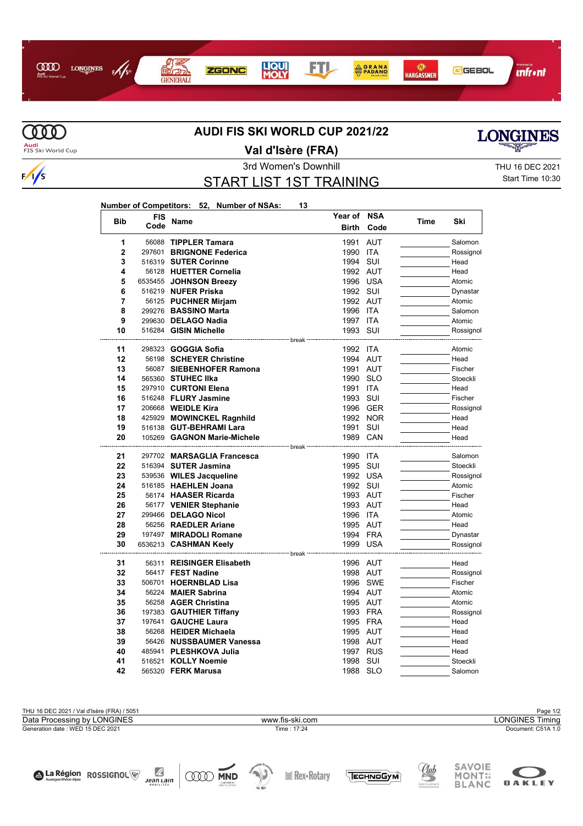



La Région ROSSIGNOL

Æ

 $Jean Lann$ 

**ODD** MND

 $\sqrt{s}$ 

## **AUDI FIS SKI WORLD CUP 2021/22**





**Val d'Isère (FRA)**

## START LIST 1ST TRAINING

3rd Women's Downhill THU 16 DEC 2021 Start Time 10:30

## **Number of Competitors: 52, Number of NSAs: 13**

| <b>Bib</b>     | <b>FIS</b> | Name                            | Year of NSA  |            | Time | Ski       |
|----------------|------------|---------------------------------|--------------|------------|------|-----------|
|                | Code       |                                 | <b>Birth</b> | Code       |      |           |
| 1              |            | 56088 TIPPLER Tamara            | 1991         | <b>AUT</b> |      | Salomon   |
| $\overline{2}$ |            | 297601 BRIGNONE Federica        | 1990 ITA     |            |      | Rossignol |
| 3              |            | 516319 SUTER Corinne            | 1994         | SUI        |      | Head      |
| 4              |            | 56128 HUETTER Cornelia          |              | 1992 AUT   |      | Head      |
| 5              |            | 6535455 JOHNSON Breezy          |              | 1996 USA   |      | Atomic    |
| 6              |            | 516219 NUFER Priska             | 1992 SUI     |            |      | Dynastar  |
| 7              |            | 56125 PUCHNER Mirjam            |              | 1992 AUT   |      | Atomic    |
| 8              |            | 299276 BASSINO Marta            | 1996 ITA     |            |      | Salomon   |
| 9              |            | 299630 DELAGO Nadia             | 1997 ITA     |            |      | Atomic    |
| 10             |            | 516284 GISIN Michelle           | 1993 SUI     |            |      | Rossignol |
|                |            | ------------------------------- |              |            |      |           |
| 11             |            | 298323 <b>GOGGIA Sofia</b>      | 1992 ITA     |            |      | Atomic    |
| 12             |            | 56198 SCHEYER Christine         |              | 1994 AUT   |      | Head      |
| 13             |            | 56087 SIEBENHOFER Ramona        |              | 1991 AUT   |      | Fischer   |
| 14             |            | 565360 STUHEC IIka              |              | 1990 SLO   |      | Stoeckli  |
| 15             |            | 297910 CURTONI Elena            | 1991 ITA     |            |      | Head      |
| 16             |            | 516248 FLURY Jasmine            | 1993 SUI     |            |      | Fischer   |
| 17             |            | 206668 <b>WEIDLE Kira</b>       |              | 1996 GER   |      | Rossignol |
| 18             |            | 425929 MOWINCKEL Ragnhild       |              | 1992 NOR   |      | Head      |
| 19<br>20       |            | 516138 GUT-BEHRAMI Lara         | 1991 SUI     | 1989 CAN   |      | Head      |
|                |            | 105269 GAGNON Marie-Michele     |              |            |      | Head      |
| 21             |            | 297702 MARSAGLIA Francesca      | 1990 ITA     |            |      | Salomon   |
| 22             |            | 516394 SUTER Jasmina            | 1995         | SUI        |      | Stoeckli  |
| 23             |            | 539536 WILES Jacqueline         |              | 1992 USA   |      | Rossignol |
| 24             |            | 516185 HAEHLEN Joana            | 1992 SUI     |            |      | Atomic    |
| 25             |            | 56174 HAASER Ricarda            |              | 1993 AUT   |      | Fischer   |
| 26             |            | 56177 VENIER Stephanie          |              | 1993 AUT   |      | Head      |
| 27             |            | 299466 DELAGO Nicol             | 1996 ITA     |            |      | Atomic    |
| 28             |            | 56256 RAEDLER Ariane            |              | 1995 AUT   |      | Head      |
| 29             |            | 197497 MIRADOLI Romane          |              | 1994 FRA   |      | Dynastar  |
| 30             |            | 6536213 <b>CASHMAN Keely</b>    |              | 1999 USA   |      | Rossignol |
|                |            |                                 | break        |            |      |           |
| 31             |            | 56311 REISINGER Elisabeth       |              | 1996 AUT   |      | Head      |
| 32             |            | 56417 FEST Nadine               |              | 1998 AUT   |      | Rossignol |
| 33             |            | 506701 HOERNBLAD Lisa           |              | 1996 SWE   |      | Fischer   |
| 34             |            | 56224 MAIER Sabrina             |              | 1994 AUT   |      | Atomic    |
| 35             |            | 56258 AGER Christina            |              | 1995 AUT   |      | Atomic    |
| 36             |            | 197383 GAUTHIER Tiffany         |              | 1993 FRA   |      | Rossignol |
| 37             |            | 197641 GAUCHE Laura             |              | 1995 FRA   |      | Head      |
| 38             |            | 56268 HEIDER Michaela           |              | 1995 AUT   |      | Head      |
| 39             |            | 56426 NUSSBAUMER Vanessa        |              | 1998 AUT   |      | Head      |
| 40             |            | 485941 PLESHKOVA Julia          |              | 1997 RUS   |      | Head      |
| 41             |            | 516521 KOLLY Noemie             | 1998         | SUI        |      | Stoeckli  |
| 42             |            | 565320 <b>FERK Marusa</b>       | 1988 SLO     |            |      | Salomon   |



**I** Rex-Rotary



Club

TECHNOGYM